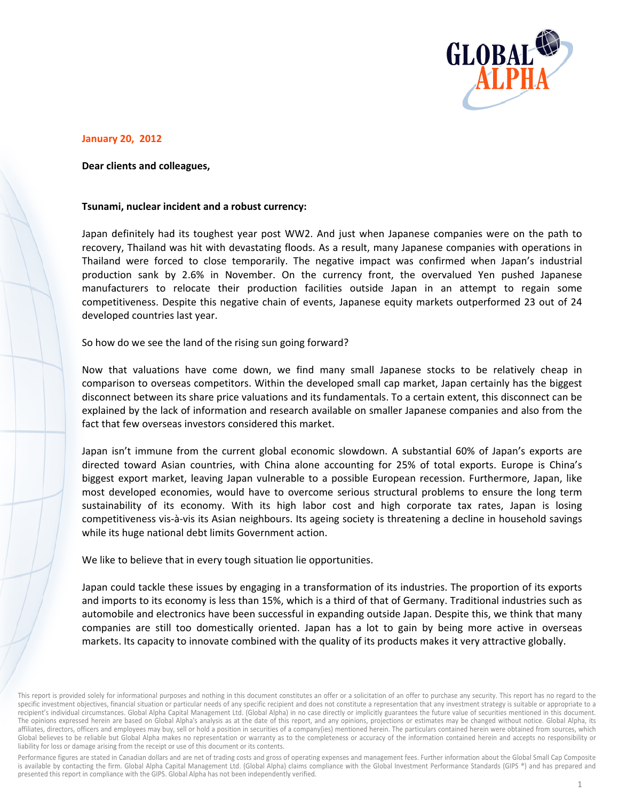

## **January 20, 2012**

## Dear clients and colleagues,

## Tsunami, nuclear incident and a robust currency:

Japan definitely had its toughest year post WW2. And just when Japanese companies were on the path to recovery, Thailand was hit with devastating floods. As a result, many Japanese companies with operations in Thailand were forced to close temporarily. The negative impact was confirmed when Japan's industrial production sank by 2.6% in November. On the currency front, the overvalued Yen pushed Japanese manufacturers to relocate their production facilities outside Japan in an attempt to regain some competitiveness. Despite this negative chain of events, Japanese equity markets outperformed 23 out of 24 developed countries last year.

So how do we see the land of the rising sun going forward?

Now that valuations have come down, we find many small Japanese stocks to be relatively cheap in comparison to overseas competitors. Within the developed small cap market, Japan certainly has the biggest disconnect between its share price valuations and its fundamentals. To a certain extent, this disconnect can be explained by the lack of information and research available on smaller Japanese companies and also from the fact that few overseas investors considered this market.

Japan isn't immune from the current global economic slowdown. A substantial 60% of Japan's exports are directed toward Asian countries, with China alone accounting for 25% of total exports. Europe is China's biggest export market, leaving Japan vulnerable to a possible European recession. Furthermore, Japan, like most developed economies, would have to overcome serious structural problems to ensure the long term sustainability of its economy. With its high labor cost and high corporate tax rates, Japan is losing competitiveness vis-à-vis its Asian neighbours. Its ageing society is threatening a decline in household savings while its huge national debt limits Government action.

We like to believe that in every tough situation lie opportunities.

Japan could tackle these issues by engaging in a transformation of its industries. The proportion of its exports and imports to its economy is less than 15%, which is a third of that of Germany. Traditional industries such as automobile and electronics have been successful in expanding outside Japan. Despite this, we think that many companies are still too domestically oriented. Japan has a lot to gain by being more active in overseas markets. Its capacity to innovate combined with the quality of its products makes it very attractive globally.

Performance figures are stated in Canadian dollars and are net of trading costs and gross of operating expenses and management fees. Further information about the Global Small Cap Composite is available by contacting the firm. Global Alpha Capital Management Ltd. (Global Alpha) claims compliance with the Global Investment Performance Standards (GIPS ®) and has prepared and presented this report in compliance with the GIPS. Global Alpha has not been independently verified.

This report is provided solely for informational purposes and nothing in this document constitutes an offer or a solicitation of an offer to purchase any security. This report has no regard to the specific investment objectives, financial situation or particular needs of any specific recipient and does not constitute a representation that any investment strategy is suitable or appropriate to a recipient's individual circumstances. Global Alpha Capital Management Ltd. (Global Alpha) in no case directly or implicitly guarantees the future value of securities mentioned in this document. The opinions expressed herein are based on Global Alpha's analysis as at the date of this report, and any opinions, projections or estimates may be changed without notice. Global Alpha, its affiliates, directors, officers and employees may buy, sell or hold a position in securities of a company(ies) mentioned herein. The particulars contained herein were obtained from sources, which Global believes to be reliable but Global Alpha makes no representation or warranty as to the completeness or accuracy of the information contained herein and accepts no responsibility or liability for loss or damage arising from the receipt or use of this document or its contents.